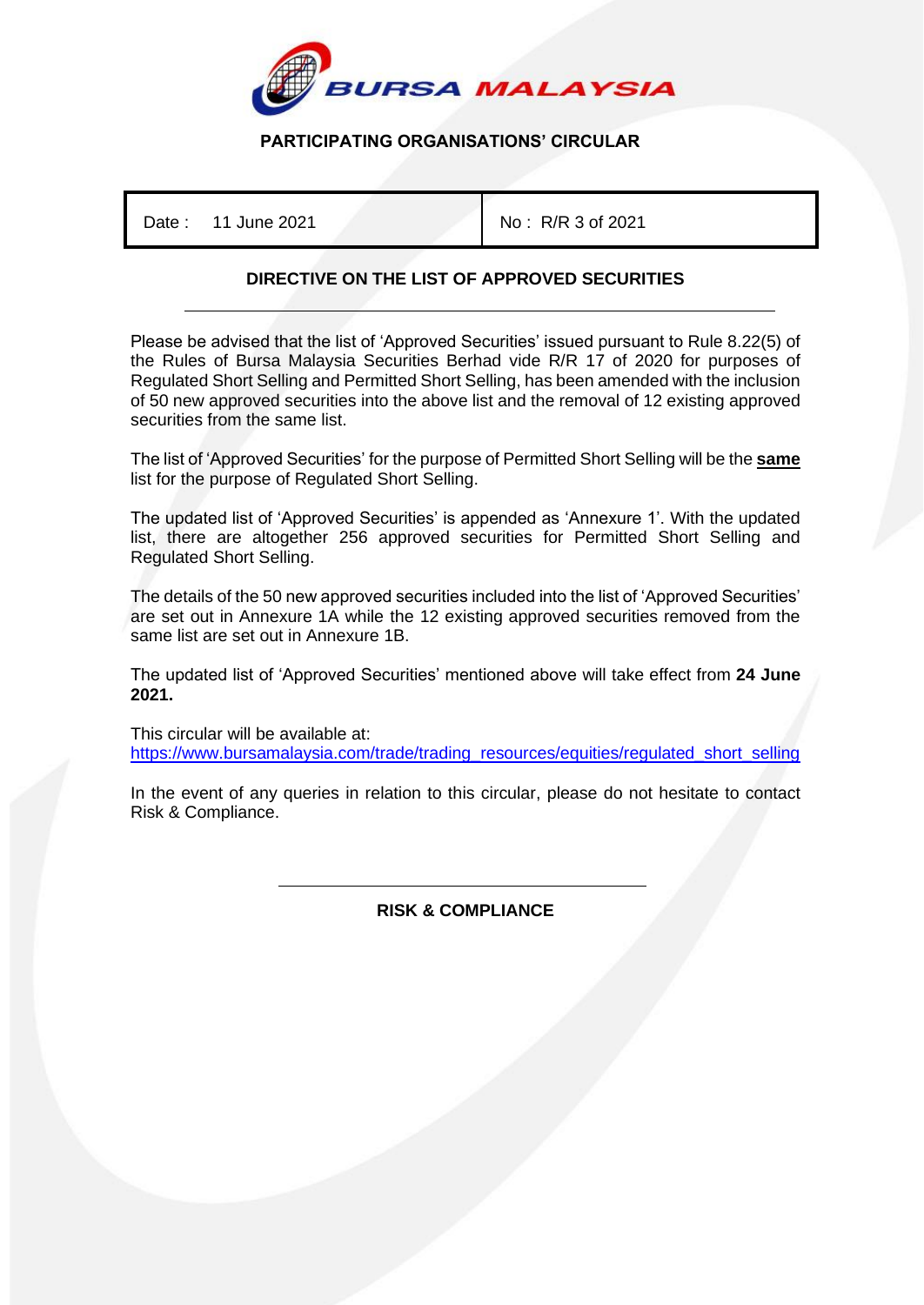

# **PARTICIPATING ORGANISATIONS' CIRCULAR**

Date: 11 June 2021 **No: R/R 3 of 2021** 

# **DIRECTIVE ON THE LIST OF APPROVED SECURITIES**

Please be advised that the list of 'Approved Securities' issued pursuant to Rule 8.22(5) of the Rules of Bursa Malaysia Securities Berhad vide R/R 17 of 2020 for purposes of Regulated Short Selling and Permitted Short Selling, has been amended with the inclusion of 50 new approved securities into the above list and the removal of 12 existing approved securities from the same list.

The list of 'Approved Securities' for the purpose of Permitted Short Selling will be the **same** list for the purpose of Regulated Short Selling.

The updated list of 'Approved Securities' is appended as 'Annexure 1'. With the updated list, there are altogether 256 approved securities for Permitted Short Selling and Regulated Short Selling.

The details of the 50 new approved securities included into the list of 'Approved Securities' are set out in Annexure 1A while the 12 existing approved securities removed from the same list are set out in Annexure 1B.

The updated list of 'Approved Securities' mentioned above will take effect from **24 June 2021.**

This circular will be available at: [https://www.bursamalaysia.com/trade/trading\\_resources/equities/regulated\\_short\\_selling](https://www.bursamalaysia.com/trade/trading_resources/equities/regulated_short_selling)

In the event of any queries in relation to this circular, please do not hesitate to contact Risk & Compliance.

> İ **RISK & COMPLIANCE**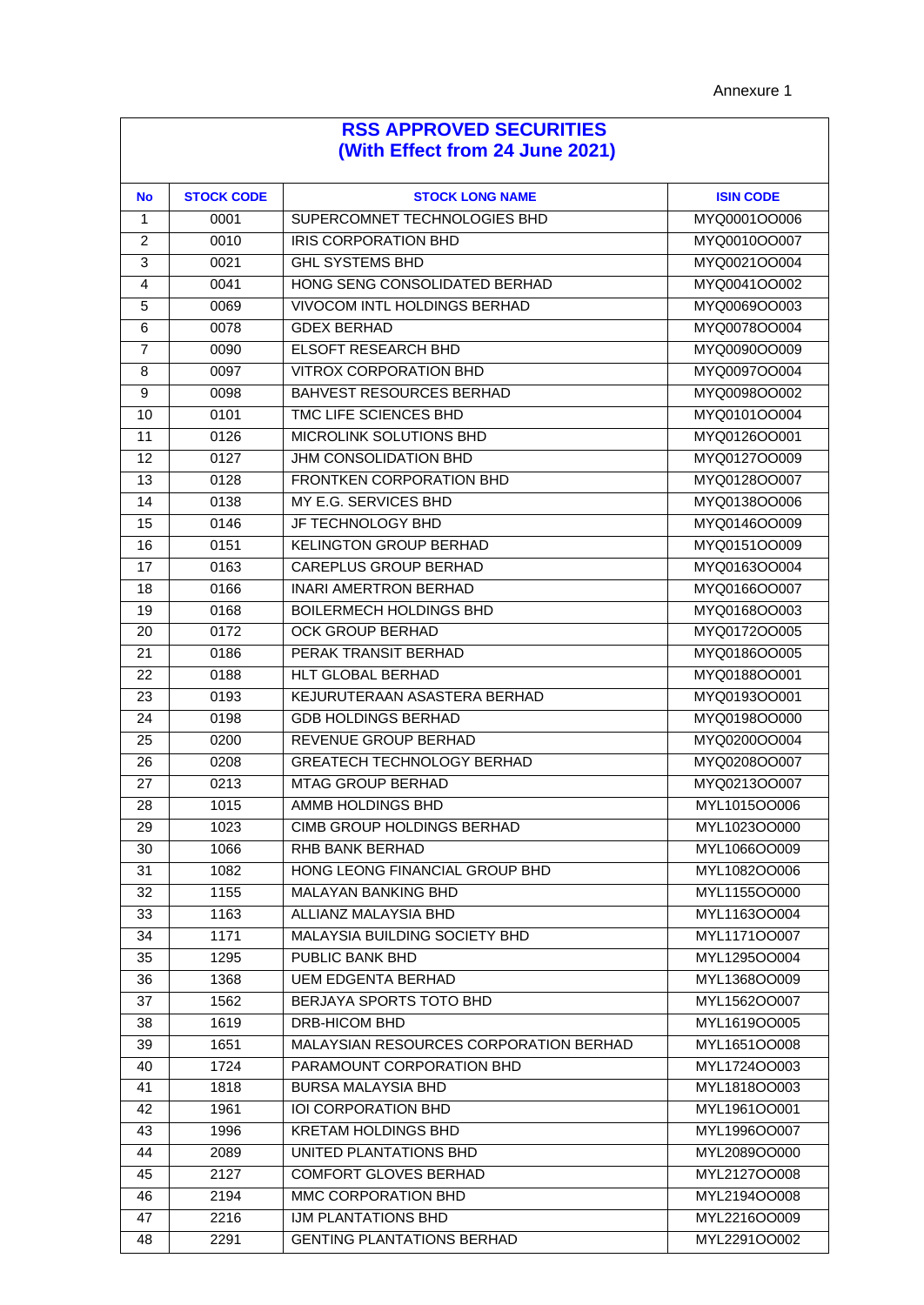| <b>No</b>      | <b>STOCK CODE</b> | <b>STOCK LONG NAME</b>                 | <b>ISIN CODE</b> |
|----------------|-------------------|----------------------------------------|------------------|
| 1              | 0001              | SUPERCOMNET TECHNOLOGIES BHD           | MYQ0001OO006     |
| $\overline{2}$ | 0010              | <b>IRIS CORPORATION BHD</b>            | MYQ0010OO007     |
| 3              | 0021              | <b>GHL SYSTEMS BHD</b>                 | MYQ0021OO004     |
| 4              | 0041              | HONG SENG CONSOLIDATED BERHAD          | MYQ0041OO002     |
| 5              | 0069              | VIVOCOM INTL HOLDINGS BERHAD           | MYQ0069OO003     |
| 6              | 0078              | <b>GDEX BERHAD</b>                     | MYQ0078OO004     |
| 7              | 0090              | <b>ELSOFT RESEARCH BHD</b>             | MYQ0090OO009     |
| 8              | 0097              | <b>VITROX CORPORATION BHD</b>          | MYQ0097OO004     |
| 9              | 0098              | <b>BAHVEST RESOURCES BERHAD</b>        | MYQ0098OO002     |
| 10             | 0101              | TMC LIFE SCIENCES BHD                  | MYQ0101OO004     |
| 11             | 0126              | MICROLINK SOLUTIONS BHD                | MYQ0126OO001     |
| 12             | 0127              | JHM CONSOLIDATION BHD                  | MYQ0127OO009     |
| 13             | 0128              | <b>FRONTKEN CORPORATION BHD</b>        | MYQ0128OO007     |
| 14             | 0138              | MY E.G. SERVICES BHD                   | MYQ0138OO006     |
| 15             | 0146              | JF TECHNOLOGY BHD                      | MYQ0146OO009     |
| 16             | 0151              | <b>KELINGTON GROUP BERHAD</b>          | MYQ0151OO009     |
| 17             | 0163              | CAREPLUS GROUP BERHAD                  | MYQ0163OO004     |
| 18             | 0166              | <b>INARI AMERTRON BERHAD</b>           | MYQ0166OO007     |
| 19             | 0168              | <b>BOILERMECH HOLDINGS BHD</b>         | MYQ0168OO003     |
| 20             | 0172              | <b>OCK GROUP BERHAD</b>                | MYQ0172OO005     |
| 21             | 0186              | PERAK TRANSIT BERHAD                   | MYQ0186OO005     |
| 22             | 0188              | <b>HLT GLOBAL BERHAD</b>               | MYQ0188OO001     |
| 23             | 0193              | KEJURUTERAAN ASASTERA BERHAD           | MYQ0193OO001     |
| 24             | 0198              | <b>GDB HOLDINGS BERHAD</b>             | MYQ0198OO000     |
| 25             | 0200              | REVENUE GROUP BERHAD                   | MYQ0200OO004     |
| 26             | 0208              | <b>GREATECH TECHNOLOGY BERHAD</b>      | MYQ0208OO007     |
| 27             | 0213              | <b>MTAG GROUP BERHAD</b>               | MYQ0213OO007     |
| 28             | 1015              | AMMB HOLDINGS BHD                      | MYL1015OO006     |
| 29             | 1023              | <b>CIMB GROUP HOLDINGS BERHAD</b>      | MYL1023OO000     |
| 30             | 1066              | RHB BANK BERHAD                        | MYL1066OO009     |
| 31             | 1082              | HONG LEONG FINANCIAL GROUP BHD         | MYL1082OO006     |
| 32             | 1155              | MALAYAN BANKING BHD                    | MYL1155OO000     |
| 33             | 1163              | ALLIANZ MALAYSIA BHD                   | MYL1163OO004     |
| 34             | 1171              | MALAYSIA BUILDING SOCIETY BHD          | MYL1171OO007     |
| 35             | 1295              | PUBLIC BANK BHD                        | MYL1295OO004     |
| 36             | 1368              | <b>UEM EDGENTA BERHAD</b>              | MYL1368OO009     |
| 37             | 1562              | BERJAYA SPORTS TOTO BHD                | MYL1562OO007     |
| 38             | 1619              | DRB-HICOM BHD                          | MYL1619OO005     |
| 39             | 1651              | MALAYSIAN RESOURCES CORPORATION BERHAD | MYL1651OO008     |
| 40             | 1724              | PARAMOUNT CORPORATION BHD              | MYL1724OO003     |
| 41             | 1818              | <b>BURSA MALAYSIA BHD</b>              | MYL1818OO003     |
| 42             | 1961              | IOI CORPORATION BHD                    | MYL1961OO001     |
| 43             | 1996              | <b>KRETAM HOLDINGS BHD</b>             | MYL1996OO007     |
| 44             | 2089              | UNITED PLANTATIONS BHD                 | MYL2089OO000     |
| 45             | 2127              | <b>COMFORT GLOVES BERHAD</b>           | MYL2127OO008     |
| 46             | 2194              | MMC CORPORATION BHD                    | MYL2194OO008     |
| 47             | 2216              | IJM PLANTATIONS BHD                    | MYL2216OO009     |
| 48             | 2291              | <b>GENTING PLANTATIONS BERHAD</b>      | MYL2291OO002     |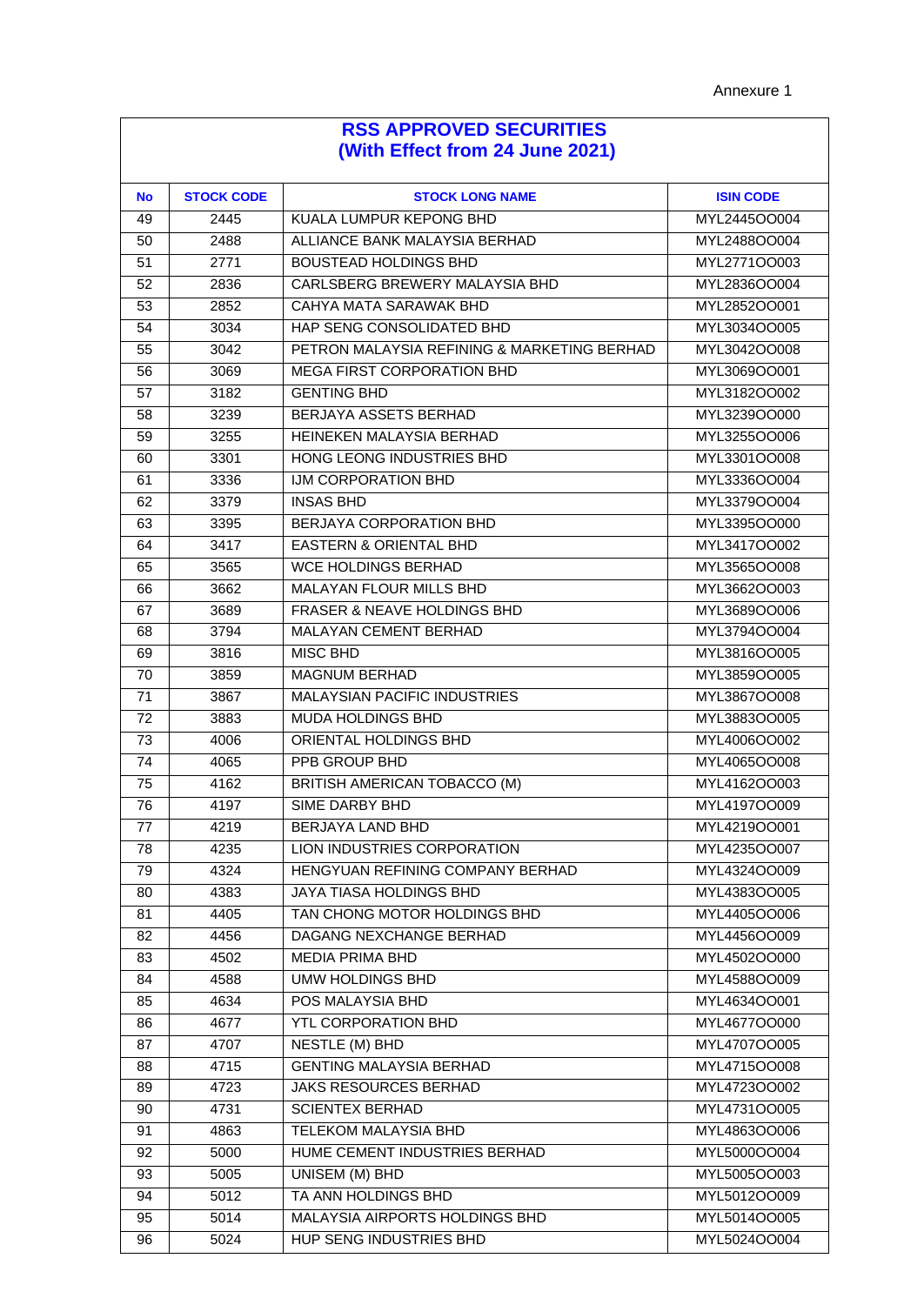| <b>No</b> | <b>STOCK CODE</b> | <b>STOCK LONG NAME</b>                      | <b>ISIN CODE</b> |
|-----------|-------------------|---------------------------------------------|------------------|
| 49        | 2445              | KUALA LUMPUR KEPONG BHD                     | MYL2445OO004     |
| 50        | 2488              | ALLIANCE BANK MALAYSIA BERHAD               | MYL2488OO004     |
| 51        | 2771              | <b>BOUSTEAD HOLDINGS BHD</b>                | MYL2771OO003     |
| 52        | 2836              | CARLSBERG BREWERY MALAYSIA BHD              | MYL2836OO004     |
| 53        | 2852              | CAHYA MATA SARAWAK BHD                      | MYL2852OO001     |
| 54        | 3034              | HAP SENG CONSOLIDATED BHD                   | MYL3034OO005     |
| 55        | 3042              | PETRON MALAYSIA REFINING & MARKETING BERHAD | MYL3042OO008     |
| 56        | 3069              | <b>MEGA FIRST CORPORATION BHD</b>           | MYL3069OO001     |
| 57        | 3182              | <b>GENTING BHD</b>                          | MYL3182OO002     |
| 58        | 3239              | BERJAYA ASSETS BERHAD                       | MYL3239OO000     |
| 59        | 3255              | HEINEKEN MALAYSIA BERHAD                    | MYL3255OO006     |
| 60        | 3301              | HONG LEONG INDUSTRIES BHD                   | MYL3301OO008     |
| 61        | 3336              | IJM CORPORATION BHD                         | MYL3336OO004     |
| 62        | 3379              | <b>INSAS BHD</b>                            | MYL3379OO004     |
| 63        | 3395              | BERJAYA CORPORATION BHD                     | MYL3395OO000     |
| 64        | 3417              | <b>EASTERN &amp; ORIENTAL BHD</b>           | MYL3417OO002     |
| 65        | 3565              | <b>WCE HOLDINGS BERHAD</b>                  | MYL3565OO008     |
| 66        | 3662              | MALAYAN FLOUR MILLS BHD                     | MYL3662OO003     |
| 67        | 3689              | <b>FRASER &amp; NEAVE HOLDINGS BHD</b>      | MYL3689OO006     |
| 68        | 3794              | MALAYAN CEMENT BERHAD                       | MYL3794OO004     |
| 69        | 3816              | <b>MISC BHD</b>                             | MYL3816OO005     |
| 70        | 3859              | <b>MAGNUM BERHAD</b>                        | MYL3859OO005     |
| 71        | 3867              | <b>MALAYSIAN PACIFIC INDUSTRIES</b>         | MYL3867OO008     |
| 72        | 3883              | MUDA HOLDINGS BHD                           | MYL3883OO005     |
| 73        | 4006              | ORIENTAL HOLDINGS BHD                       | MYL4006OO002     |
| 74        | 4065              | PPB GROUP BHD                               | MYL4065OO008     |
| 75        | 4162              | BRITISH AMERICAN TOBACCO (M)                | MYL4162OO003     |
| 76        | 4197              | <b>SIME DARBY BHD</b>                       | MYL4197OO009     |
| 77        | 4219              | BERJAYA LAND BHD                            | MYL4219OO001     |
| 78        | 4235              | LION INDUSTRIES CORPORATION                 | MYL4235OO007     |
| 79        | 4324              | HENGYUAN REFINING COMPANY BERHAD            | MYL4324OO009     |
| 80        | 4383              | JAYA TIASA HOLDINGS BHD                     | MYL4383OO005     |
| 81        | 4405              | TAN CHONG MOTOR HOLDINGS BHD                | MYL4405OO006     |
| 82        | 4456              | DAGANG NEXCHANGE BERHAD                     | MYL4456OO009     |
| 83        | 4502              | <b>MEDIA PRIMA BHD</b>                      | MYL4502OO000     |
| 84        | 4588              | UMW HOLDINGS BHD                            | MYL4588OO009     |
| 85        | 4634              | POS MALAYSIA BHD                            | MYL4634OO001     |
| 86        | 4677              | <b>YTL CORPORATION BHD</b>                  | MYL4677OO000     |
| 87        | 4707              | NESTLE (M) BHD                              | MYL4707OO005     |
| 88        | 4715              | <b>GENTING MALAYSIA BERHAD</b>              | MYL4715OO008     |
| 89        | 4723              | JAKS RESOURCES BERHAD                       | MYL4723OO002     |
| 90        | 4731              | <b>SCIENTEX BERHAD</b>                      | MYL4731OO005     |
| 91        | 4863              | TELEKOM MALAYSIA BHD                        | MYL4863OO006     |
| 92        | 5000              | HUME CEMENT INDUSTRIES BERHAD               | MYL5000OO004     |
| 93        | 5005              | UNISEM (M) BHD                              | MYL5005OO003     |
| 94        | 5012              | TA ANN HOLDINGS BHD                         | MYL5012OO009     |
| 95        | 5014              | MALAYSIA AIRPORTS HOLDINGS BHD              | MYL5014OO005     |
| 96        | 5024              | HUP SENG INDUSTRIES BHD                     | MYL5024OO004     |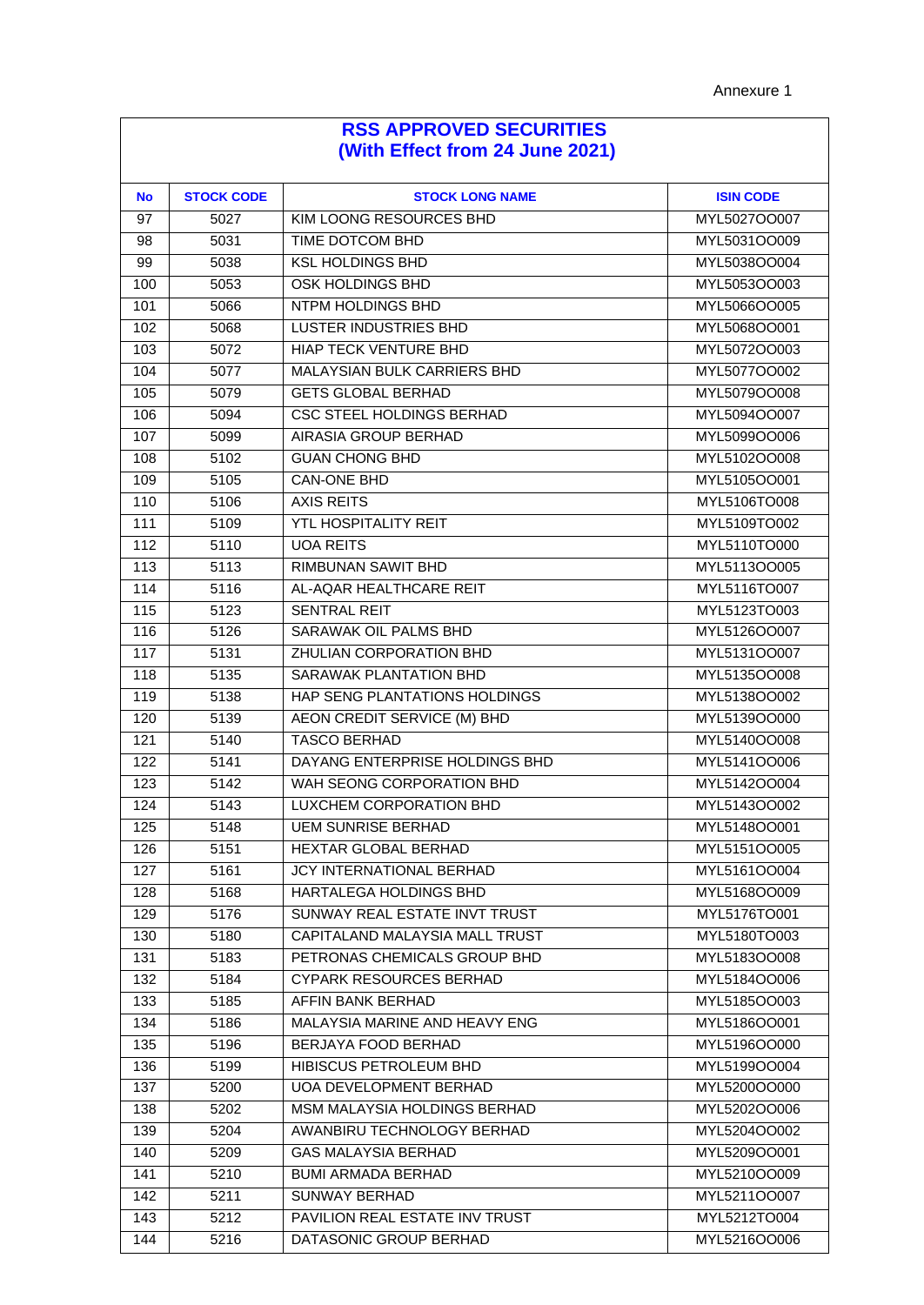| <b>No</b> | <b>STOCK CODE</b> | <b>STOCK LONG NAME</b>             | <b>ISIN CODE</b> |
|-----------|-------------------|------------------------------------|------------------|
| 97        | 5027              | KIM LOONG RESOURCES BHD            | MYL5027OO007     |
| 98        | 5031              | TIME DOTCOM BHD                    | MYL5031OO009     |
| 99        | 5038              | <b>KSL HOLDINGS BHD</b>            | MYL5038OO004     |
| 100       | 5053              | OSK HOLDINGS BHD                   | MYL5053OO003     |
| 101       | 5066              | NTPM HOLDINGS BHD                  | MYL5066OO005     |
| 102       | 5068              | <b>LUSTER INDUSTRIES BHD</b>       | MYL5068OO001     |
| 103       | 5072              | <b>HIAP TECK VENTURE BHD</b>       | MYL5072OO003     |
| 104       | 5077              | <b>MALAYSIAN BULK CARRIERS BHD</b> | MYL5077OO002     |
| 105       | 5079              | <b>GETS GLOBAL BERHAD</b>          | MYL5079OO008     |
| 106       | 5094              | <b>CSC STEEL HOLDINGS BERHAD</b>   | MYL5094OO007     |
| 107       | 5099              | AIRASIA GROUP BERHAD               | MYL5099OO006     |
| 108       | 5102              | <b>GUAN CHONG BHD</b>              | MYL5102OO008     |
| 109       | 5105              | <b>CAN-ONE BHD</b>                 | MYL5105OO001     |
| 110       | 5106              | <b>AXIS REITS</b>                  | MYL5106TO008     |
| 111       | 5109              | <b>YTL HOSPITALITY REIT</b>        | MYL5109TO002     |
| 112       | 5110              | <b>UOA REITS</b>                   | MYL5110TO000     |
| 113       | 5113              | <b>RIMBUNAN SAWIT BHD</b>          | MYL5113OO005     |
| 114       | 5116              | AL-AQAR HEALTHCARE REIT            | MYL5116TO007     |
| 115       | 5123              | <b>SENTRAL REIT</b>                | MYL5123TO003     |
| 116       | 5126              | SARAWAK OIL PALMS BHD              | MYL5126OO007     |
| 117       | 5131              | ZHULIAN CORPORATION BHD            | MYL5131OO007     |
| 118       | 5135              | SARAWAK PLANTATION BHD             | MYL5135OO008     |
| 119       | 5138              | HAP SENG PLANTATIONS HOLDINGS      | MYL5138OO002     |
| 120       | 5139              | AEON CREDIT SERVICE (M) BHD        | MYL5139OO000     |
| 121       | 5140              | <b>TASCO BERHAD</b>                | MYL5140OO008     |
| 122       | 5141              | DAYANG ENTERPRISE HOLDINGS BHD     | MYL5141OO006     |
| 123       | 5142              | WAH SEONG CORPORATION BHD          | MYL5142OO004     |
| 124       | 5143              | LUXCHEM CORPORATION BHD            | MYL5143OO002     |
| 125       | 5148              | <b>UEM SUNRISE BERHAD</b>          | MYL5148OO001     |
| 126       | 5151              | HEXTAR GLOBAL BERHAD               | MYL5151OO005     |
| 127       | 5161              | JCY INTERNATIONAL BERHAD           | MYL5161OO004     |
| 128       | 5168              | HARTALEGA HOLDINGS BHD             | MYL5168OO009     |
| 129       | 5176              | SUNWAY REAL ESTATE INVT TRUST      | MYL5176TO001     |
| 130       | 5180              | CAPITALAND MALAYSIA MALL TRUST     | MYL5180TO003     |
| 131       | 5183              | PETRONAS CHEMICALS GROUP BHD       | MYL5183OO008     |
| 132       | 5184              | CYPARK RESOURCES BERHAD            | MYL5184OO006     |
| 133       | 5185              | AFFIN BANK BERHAD                  | MYL5185OO003     |
| 134       | 5186              | MALAYSIA MARINE AND HEAVY ENG      | MYL5186OO001     |
| 135       | 5196              | BERJAYA FOOD BERHAD                | MYL5196OO000     |
| 136       | 5199              | HIBISCUS PETROLEUM BHD             | MYL5199OO004     |
| 137       | 5200              | <b>UOA DEVELOPMENT BERHAD</b>      | MYL5200OO000     |
| 138       | 5202              | MSM MALAYSIA HOLDINGS BERHAD       | MYL5202OO006     |
| 139       | 5204              | AWANBIRU TECHNOLOGY BERHAD         | MYL5204OO002     |
| 140       | 5209              | <b>GAS MALAYSIA BERHAD</b>         | MYL5209OO001     |
| 141       | 5210              | <b>BUMI ARMADA BERHAD</b>          | MYL5210OO009     |
| 142       | 5211              | <b>SUNWAY BERHAD</b>               | MYL5211OO007     |
| 143       | 5212              | PAVILION REAL ESTATE INV TRUST     | MYL5212TO004     |
| 144       | 5216              | DATASONIC GROUP BERHAD             | MYL5216OO006     |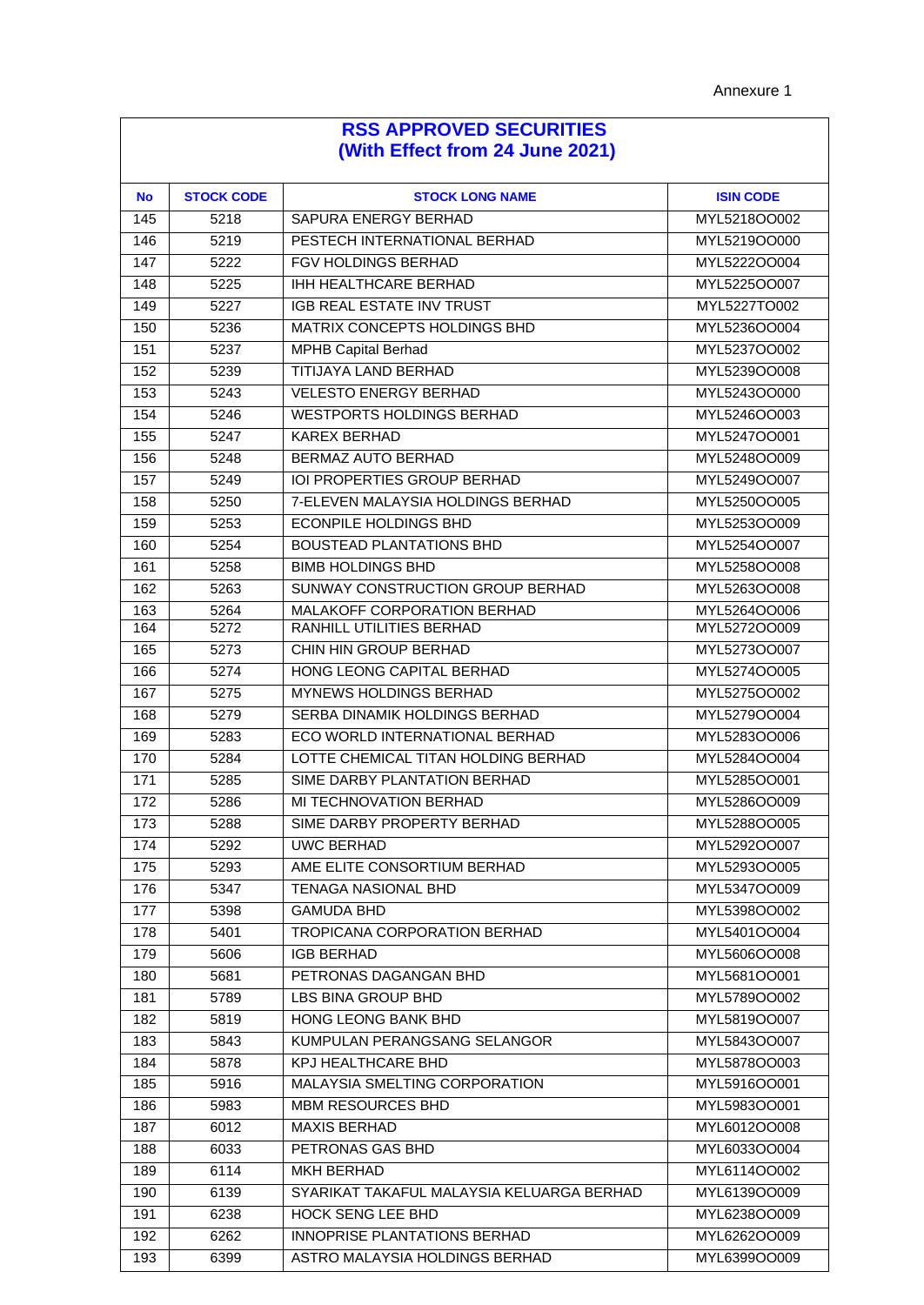| <b>No</b> | <b>STOCK CODE</b> | <b>STOCK LONG NAME</b>                    | <b>ISIN CODE</b> |
|-----------|-------------------|-------------------------------------------|------------------|
| 145       | 5218              | SAPURA ENERGY BERHAD                      | MYL5218OO002     |
| 146       | 5219              | PESTECH INTERNATIONAL BERHAD              | MYL5219OO000     |
| 147       | 5222              | FGV HOLDINGS BERHAD                       | MYL5222OO004     |
| 148       | 5225              | IHH HEALTHCARE BERHAD                     | MYL5225OO007     |
| 149       | 5227              | IGB REAL ESTATE INV TRUST                 | MYL5227TO002     |
| 150       | 5236              | MATRIX CONCEPTS HOLDINGS BHD              | MYL5236OO004     |
| 151       | 5237              | <b>MPHB Capital Berhad</b>                | MYL5237OO002     |
| 152       | 5239              | <b>TITIJAYA LAND BERHAD</b>               | MYL5239OO008     |
| 153       | 5243              | <b>VELESTO ENERGY BERHAD</b>              | MYL5243OO000     |
| 154       | 5246              | <b>WESTPORTS HOLDINGS BERHAD</b>          | MYL5246OO003     |
| 155       | 5247              | <b>KAREX BERHAD</b>                       | MYL5247OO001     |
| 156       | 5248              | BERMAZ AUTO BERHAD                        | MYL5248OO009     |
| 157       | 5249              | <b>IOI PROPERTIES GROUP BERHAD</b>        | MYL5249OO007     |
| 158       | 5250              | 7-ELEVEN MALAYSIA HOLDINGS BERHAD         | MYL5250OO005     |
| 159       | 5253              | <b>ECONPILE HOLDINGS BHD</b>              | MYL5253OO009     |
| 160       | 5254              | <b>BOUSTEAD PLANTATIONS BHD</b>           | MYL5254OO007     |
| 161       | 5258              | <b>BIMB HOLDINGS BHD</b>                  | MYL5258OO008     |
| 162       | 5263              | SUNWAY CONSTRUCTION GROUP BERHAD          | MYL5263OO008     |
| 163       | 5264              | MALAKOFF CORPORATION BERHAD               | MYL5264OO006     |
| 164       | 5272              | RANHILL UTILITIES BERHAD                  | MYL5272OO009     |
| 165       | 5273              | CHIN HIN GROUP BERHAD                     | MYL5273OO007     |
| 166       | 5274              | HONG LEONG CAPITAL BERHAD                 | MYL5274OO005     |
| 167       | 5275              | MYNEWS HOLDINGS BERHAD                    | MYL5275OO002     |
| 168       | 5279              | SERBA DINAMIK HOLDINGS BERHAD             | MYL5279OO004     |
| 169       | 5283              | ECO WORLD INTERNATIONAL BERHAD            | MYL5283OO006     |
| 170       | 5284              | LOTTE CHEMICAL TITAN HOLDING BERHAD       | MYL5284OO004     |
| 171       | 5285              | SIME DARBY PLANTATION BERHAD              | MYL5285OO001     |
| 172       | 5286              | MI TECHNOVATION BERHAD                    | MYL5286OO009     |
| 173       | 5288              | SIME DARBY PROPERTY BERHAD                | MYL5288OO005     |
| 174       | 5292              | <b>UWC BERHAD</b>                         | MYL5292OO007     |
| 175       | 5293              | AME ELITE CONSORTIUM BERHAD               | MYL5293OO005     |
| 176       | 5347              | <b>TENAGA NASIONAL BHD</b>                | MYL5347OO009     |
| 177       | 5398              | <b>GAMUDA BHD</b>                         | MYL5398OO002     |
| 178       | 5401              | TROPICANA CORPORATION BERHAD              | MYL5401OO004     |
| 179       | 5606              | <b>IGB BERHAD</b>                         | MYL5606OO008     |
| 180       | 5681              | PETRONAS DAGANGAN BHD                     | MYL5681OO001     |
| 181       | 5789              | <b>LBS BINA GROUP BHD</b>                 | MYL5789OO002     |
| 182       | 5819              | HONG LEONG BANK BHD                       | MYL5819OO007     |
| 183       | 5843              | KUMPULAN PERANGSANG SELANGOR              | MYL5843OO007     |
| 184       | 5878              | KPJ HEALTHCARE BHD                        | MYL5878OO003     |
| 185       | 5916              | MALAYSIA SMELTING CORPORATION             | MYL5916OO001     |
| 186       | 5983              | MBM RESOURCES BHD                         | MYL5983OO001     |
| 187       | 6012              | <b>MAXIS BERHAD</b>                       | MYL6012OO008     |
| 188       | 6033              | PETRONAS GAS BHD                          | MYL6033OO004     |
| 189       | 6114              | <b>MKH BERHAD</b>                         | MYL6114OO002     |
| 190       | 6139              | SYARIKAT TAKAFUL MALAYSIA KELUARGA BERHAD | MYL6139OO009     |
| 191       | 6238              | HOCK SENG LEE BHD                         | MYL6238OO009     |
| 192       | 6262              | INNOPRISE PLANTATIONS BERHAD              | MYL6262OO009     |
| 193       | 6399              | ASTRO MALAYSIA HOLDINGS BERHAD            | MYL6399OO009     |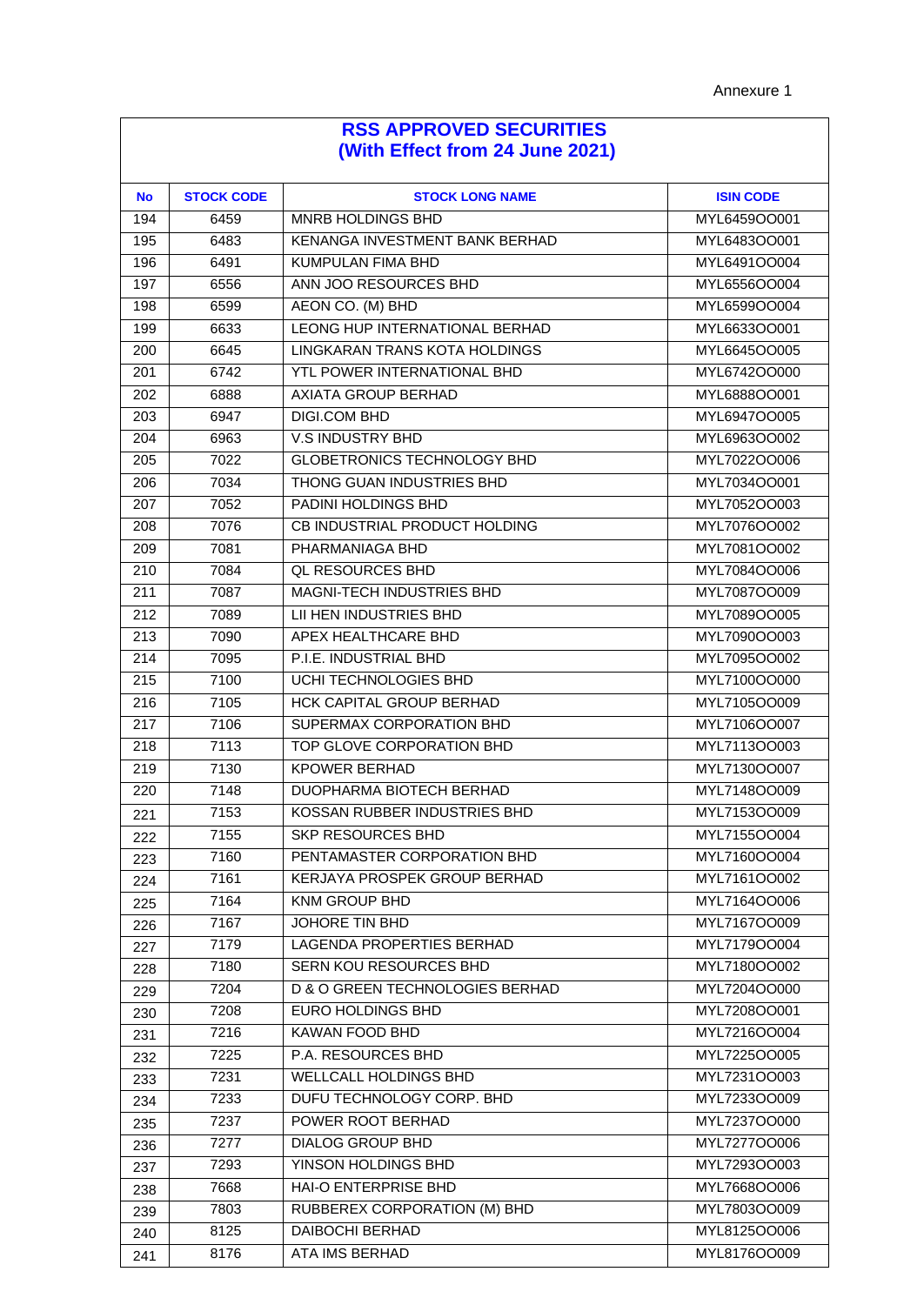| <b>No</b> | <b>STOCK CODE</b> | <b>STOCK LONG NAME</b>             | <b>ISIN CODE</b> |
|-----------|-------------------|------------------------------------|------------------|
| 194       | 6459              | <b>MNRB HOLDINGS BHD</b>           | MYL6459OO001     |
| 195       | 6483              | KENANGA INVESTMENT BANK BERHAD     | MYL6483OO001     |
| 196       | 6491              | <b>KUMPULAN FIMA BHD</b>           | MYL6491OO004     |
| 197       | 6556              | ANN JOO RESOURCES BHD              | MYL6556OO004     |
| 198       | 6599              | AEON CO. (M) BHD                   | MYL6599OO004     |
| 199       | 6633              | LEONG HUP INTERNATIONAL BERHAD     | MYL6633OO001     |
| 200       | 6645              | LINGKARAN TRANS KOTA HOLDINGS      | MYL6645OO005     |
| 201       | 6742              | YTL POWER INTERNATIONAL BHD        | MYL6742OO000     |
| 202       | 6888              | <b>AXIATA GROUP BERHAD</b>         | MYL6888OO001     |
| 203       | 6947              | <b>DIGI.COM BHD</b>                | MYL6947OO005     |
| 204       | 6963              | V.S INDUSTRY BHD                   | MYL6963OO002     |
| 205       | 7022              | <b>GLOBETRONICS TECHNOLOGY BHD</b> | MYL7022OO006     |
| 206       | 7034              | THONG GUAN INDUSTRIES BHD          | MYL7034OO001     |
| 207       | 7052              | PADINI HOLDINGS BHD                | MYL7052OO003     |
| 208       | 7076              | CB INDUSTRIAL PRODUCT HOLDING      | MYL7076OO002     |
| 209       | 7081              | PHARMANIAGA BHD                    | MYL7081OO002     |
| 210       | 7084              | <b>QL RESOURCES BHD</b>            | MYL7084OO006     |
| 211       | 7087              | MAGNI-TECH INDUSTRIES BHD          | MYL7087OO009     |
| 212       | 7089              | LII HEN INDUSTRIES BHD             | MYL7089OO005     |
| 213       | 7090              | APEX HEALTHCARE BHD                | MYL7090OO003     |
| 214       | 7095              | P.I.E. INDUSTRIAL BHD              | MYL7095OO002     |
| 215       | 7100              | UCHI TECHNOLOGIES BHD              | MYL7100OO000     |
| 216       | 7105              | HCK CAPITAL GROUP BERHAD           | MYL7105OO009     |
| 217       | 7106              | SUPERMAX CORPORATION BHD           | MYL7106OO007     |
| 218       | 7113              | TOP GLOVE CORPORATION BHD          | MYL7113OO003     |
| 219       | 7130              | <b>KPOWER BERHAD</b>               | MYL7130OO007     |
| 220       | 7148              | DUOPHARMA BIOTECH BERHAD           | MYL7148OO009     |
| 221       | 7153              | KOSSAN RUBBER INDUSTRIES BHD       | MYL7153OO009     |
| 222       | 7155              | <b>SKP RESOURCES BHD</b>           | MYL7155OO004     |
| 223       | 7160              | PENTAMASTER CORPORATION BHD        | MYL7160OO004     |
| 224       | 7161              | KERJAYA PROSPEK GROUP BERHAD       | MYL7161OO002     |
| 225       | 7164              | KNM GROUP BHD                      | MYL7164OO006     |
| 226       | 7167              | <b>JOHORE TIN BHD</b>              | MYL7167OO009     |
| 227       | 7179              | <b>LAGENDA PROPERTIES BERHAD</b>   | MYL7179OO004     |
| 228       | 7180              | SERN KOU RESOURCES BHD             | MYL7180OO002     |
| 229       | 7204              | D & O GREEN TECHNOLOGIES BERHAD    | MYL7204OO000     |
| 230       | 7208              | <b>EURO HOLDINGS BHD</b>           | MYL7208OO001     |
| 231       | 7216              | <b>KAWAN FOOD BHD</b>              | MYL7216OO004     |
| 232       | 7225              | P.A. RESOURCES BHD                 | MYL7225OO005     |
| 233       | 7231              | WELLCALL HOLDINGS BHD              | MYL7231OO003     |
| 234       | 7233              | DUFU TECHNOLOGY CORP. BHD          | MYL7233OO009     |
| 235       | 7237              | POWER ROOT BERHAD                  | MYL7237OO000     |
| 236       | 7277              | <b>DIALOG GROUP BHD</b>            | MYL7277OO006     |
| 237       | 7293              | YINSON HOLDINGS BHD                | MYL7293OO003     |
| 238       | 7668              | HAI-O ENTERPRISE BHD               | MYL7668OO006     |
| 239       | 7803              | RUBBEREX CORPORATION (M) BHD       | MYL7803OO009     |
| 240       | 8125              | DAIBOCHI BERHAD                    | MYL8125OO006     |
| 241       | 8176              | ATA IMS BERHAD                     | MYL8176OO009     |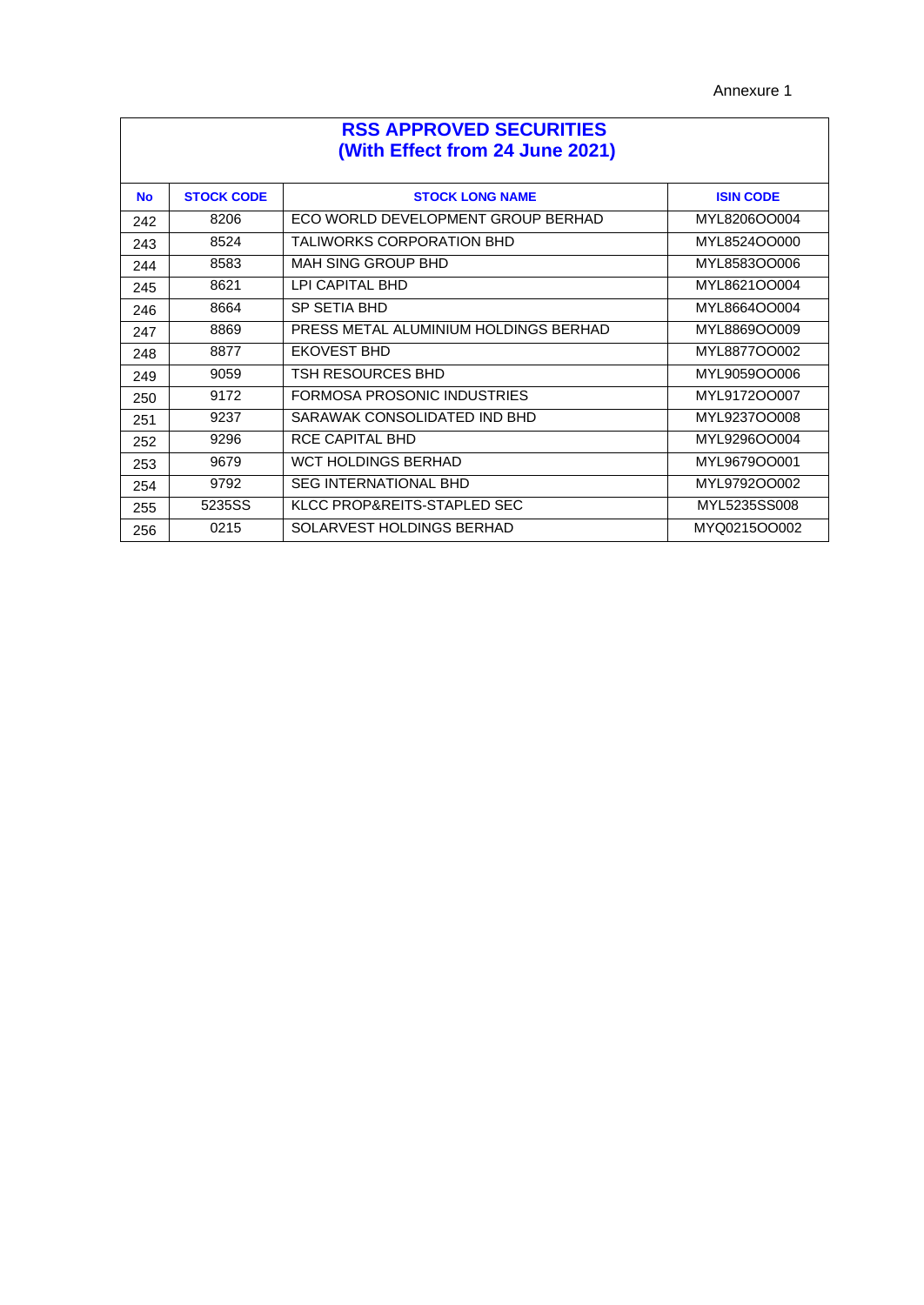Annexure 1

| <b>RSS APPROVED SECURITIES</b><br>(With Effect from 24 June 2021) |                   |                                       |                  |  |
|-------------------------------------------------------------------|-------------------|---------------------------------------|------------------|--|
| <b>No</b>                                                         | <b>STOCK CODE</b> | <b>STOCK LONG NAME</b>                | <b>ISIN CODE</b> |  |
| 242                                                               | 8206              | ECO WORLD DEVELOPMENT GROUP BERHAD    | MYL8206OO004     |  |
| 243                                                               | 8524              | <b>TALIWORKS CORPORATION BHD</b>      | MYL8524OO000     |  |
| 244                                                               | 8583              | <b>MAH SING GROUP BHD</b>             | MYL8583OO006     |  |
| 245                                                               | 8621              | LPI CAPITAL BHD                       | MYL8621OO004     |  |
| 246                                                               | 8664              | <b>SP SETIA BHD</b>                   | MYL8664OO004     |  |
| 247                                                               | 8869              | PRESS METAL ALUMINIUM HOLDINGS BERHAD | MYL8869OO009     |  |
| 248                                                               | 8877              | <b>EKOVEST BHD</b>                    | MYL8877OO002     |  |
| 249                                                               | 9059              | <b>TSH RESOURCES BHD</b>              | MYL9059OO006     |  |
| 250                                                               | 9172              | FORMOSA PROSONIC INDUSTRIES           | MYL9172OO007     |  |
| 251                                                               | 9237              | SARAWAK CONSOLIDATED IND BHD          | MYL9237OO008     |  |
| 252                                                               | 9296              | RCE CAPITAL BHD                       | MYL9296OO004     |  |
| 253                                                               | 9679              | <b>WCT HOLDINGS BERHAD</b>            | MYL9679OO001     |  |
| 254                                                               | 9792              | <b>SEG INTERNATIONAL BHD</b>          | MYL9792OO002     |  |
| 255                                                               | 5235SS            | KLCC PROP&REITS-STAPLED SEC           | MYL5235SS008     |  |
| 256                                                               | 0215              | SOLARVEST HOLDINGS BERHAD             | MYQ0215OO002     |  |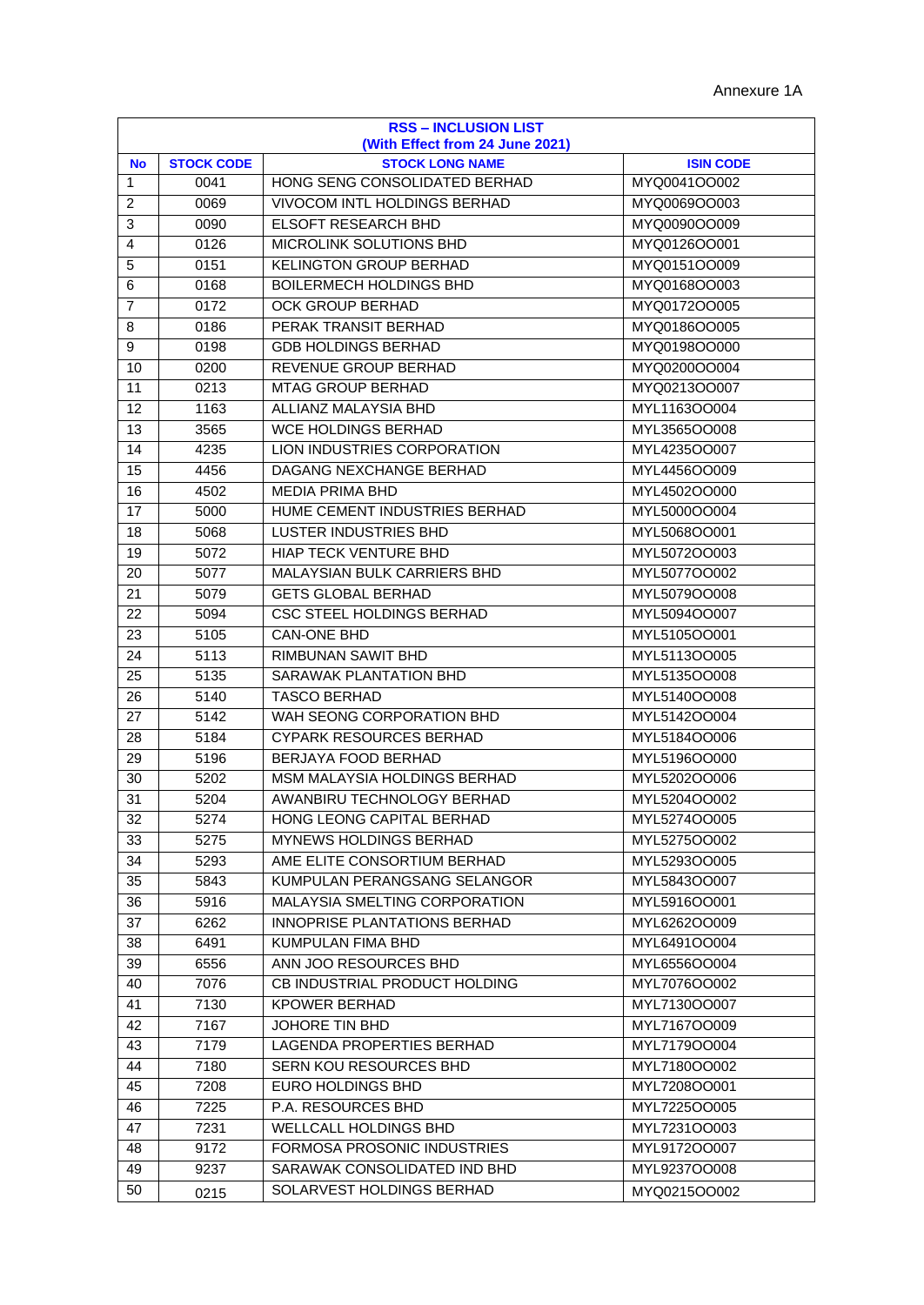| <b>RSS - INCLUSION LIST</b><br>(With Effect from 24 June 2021) |                   |                                     |                  |  |
|----------------------------------------------------------------|-------------------|-------------------------------------|------------------|--|
| <b>No</b>                                                      | <b>STOCK CODE</b> | <b>STOCK LONG NAME</b>              | <b>ISIN CODE</b> |  |
| 1                                                              | 0041              | HONG SENG CONSOLIDATED BERHAD       | MYQ0041OO002     |  |
| 2                                                              | 0069              | <b>VIVOCOM INTL HOLDINGS BERHAD</b> | MYQ0069OO003     |  |
| 3                                                              | 0090              | ELSOFT RESEARCH BHD                 | MYQ0090OO009     |  |
| $\overline{4}$                                                 | 0126              | MICROLINK SOLUTIONS BHD             | MYQ0126OO001     |  |
| 5                                                              | 0151              | <b>KELINGTON GROUP BERHAD</b>       | MYQ0151OO009     |  |
| 6                                                              | 0168              | <b>BOILERMECH HOLDINGS BHD</b>      | MYQ0168OO003     |  |
| $\overline{7}$                                                 | 0172              | OCK GROUP BERHAD                    | MYQ0172OO005     |  |
| 8                                                              | 0186              | PERAK TRANSIT BERHAD                | MYQ0186OO005     |  |
| 9                                                              | 0198              | <b>GDB HOLDINGS BERHAD</b>          | MYQ0198OO000     |  |
| 10                                                             | 0200              | REVENUE GROUP BERHAD                | MYQ0200OO004     |  |
| 11                                                             | 0213              | <b>MTAG GROUP BERHAD</b>            | MYQ0213OO007     |  |
| 12                                                             | 1163              | ALLIANZ MALAYSIA BHD                | MYL1163OO004     |  |
| 13                                                             | 3565              | WCE HOLDINGS BERHAD                 | MYL3565OO008     |  |
| 14                                                             | 4235              | LION INDUSTRIES CORPORATION         | MYL4235OO007     |  |
| 15                                                             | 4456              | DAGANG NEXCHANGE BERHAD             | MYL4456OO009     |  |
| 16                                                             | 4502              | <b>MEDIA PRIMA BHD</b>              | MYL4502OO000     |  |
| 17                                                             | 5000              | HUME CEMENT INDUSTRIES BERHAD       | MYL5000OO004     |  |
| 18                                                             | 5068              | <b>LUSTER INDUSTRIES BHD</b>        | MYL5068OO001     |  |
| 19                                                             | 5072              | <b>HIAP TECK VENTURE BHD</b>        | MYL5072OO003     |  |
| 20                                                             | 5077              | MALAYSIAN BULK CARRIERS BHD         | MYL5077OO002     |  |
| 21                                                             | 5079              | <b>GETS GLOBAL BERHAD</b>           | MYL5079OO008     |  |
| 22                                                             | 5094              | CSC STEEL HOLDINGS BERHAD           | MYL5094OO007     |  |
| 23                                                             | 5105              | <b>CAN-ONE BHD</b>                  | MYL5105OO001     |  |
| 24                                                             | 5113              | RIMBUNAN SAWIT BHD                  | MYL5113OO005     |  |
| 25                                                             | 5135              | SARAWAK PLANTATION BHD              | MYL5135OO008     |  |
| 26                                                             | 5140              | <b>TASCO BERHAD</b>                 | MYL5140OO008     |  |
| 27                                                             | 5142              | WAH SEONG CORPORATION BHD           | MYL5142OO004     |  |
| 28                                                             | 5184              | <b>CYPARK RESOURCES BERHAD</b>      | MYL5184OO006     |  |
| 29                                                             | 5196              | BERJAYA FOOD BERHAD                 | MYL5196OO000     |  |
| 30                                                             | 5202              | MSM MALAYSIA HOLDINGS BERHAD        | MYL5202OO006     |  |
| 31                                                             | 5204              | AWANBIRU TECHNOLOGY BERHAD          | MYL5204OO002     |  |
| 32                                                             | 5274              | HONG LEONG CAPITAL BERHAD           | MYL5274OO005     |  |
| 33                                                             | 5275              | MYNEWS HOLDINGS BERHAD              | MYL5275OO002     |  |
| 34                                                             | 5293              | AME ELITE CONSORTIUM BERHAD         | MYL5293OO005     |  |
| 35                                                             | 5843              | KUMPULAN PERANGSANG SELANGOR        | MYL5843OO007     |  |
| 36                                                             | 5916              | MALAYSIA SMELTING CORPORATION       | MYL5916OO001     |  |
| 37                                                             | 6262              | INNOPRISE PLANTATIONS BERHAD        | MYL6262OO009     |  |
| 38                                                             | 6491              | KUMPULAN FIMA BHD                   | MYL6491OO004     |  |
| 39                                                             | 6556              | ANN JOO RESOURCES BHD               | MYL6556OO004     |  |
| 40                                                             | 7076              | CB INDUSTRIAL PRODUCT HOLDING       | MYL7076OO002     |  |
| 41                                                             | 7130              | <b>KPOWER BERHAD</b>                | MYL7130OO007     |  |
| 42                                                             | 7167              | JOHORE TIN BHD                      | MYL7167OO009     |  |
| 43                                                             | 7179              | LAGENDA PROPERTIES BERHAD           | MYL7179OO004     |  |
| 44                                                             | 7180              | <b>SERN KOU RESOURCES BHD</b>       | MYL7180OO002     |  |
| 45                                                             | 7208              | EURO HOLDINGS BHD                   | MYL7208OO001     |  |
| 46                                                             | 7225              | P.A. RESOURCES BHD                  | MYL7225OO005     |  |
| 47                                                             | 7231              | WELLCALL HOLDINGS BHD               | MYL7231OO003     |  |
| 48                                                             | 9172              | FORMOSA PROSONIC INDUSTRIES         | MYL9172OO007     |  |
| 49                                                             | 9237              | SARAWAK CONSOLIDATED IND BHD        | MYL9237OO008     |  |
| 50                                                             | 0215              | SOLARVEST HOLDINGS BERHAD           | MYQ0215OO002     |  |